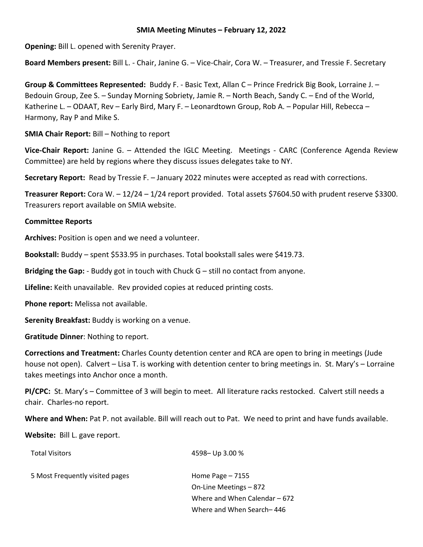## **SMIA Meeting Minutes – February 12, 2022**

**Opening:** Bill L. opened with Serenity Prayer.

**Board Members present:** Bill L. - Chair, Janine G. – Vice-Chair, Cora W. – Treasurer, and Tressie F. Secretary

**Group & Committees Represented:** Buddy F. - Basic Text, Allan C – Prince Fredrick Big Book, Lorraine J. – Bedouin Group, Zee S. – Sunday Morning Sobriety, Jamie R. – North Beach, Sandy C. – End of the World, Katherine L. – ODAAT, Rev – Early Bird, Mary F. – Leonardtown Group, Rob A. – Popular Hill, Rebecca – Harmony, Ray P and Mike S.

**SMIA Chair Report:** Bill – Nothing to report

**Vice-Chair Report:** Janine G. – Attended the IGLC Meeting. Meetings - CARC (Conference Agenda Review Committee) are held by regions where they discuss issues delegates take to NY.

**Secretary Report:** Read by Tressie F. – January 2022 minutes were accepted as read with corrections.

**Treasurer Report:** Cora W. – 12/24 – 1/24 report provided. Total assets \$7604.50 with prudent reserve \$3300. Treasurers report available on SMIA website.

# **Committee Reports**

**Archives:** Position is open and we need a volunteer.

**Bookstall:** Buddy – spent \$533.95 in purchases. Total bookstall sales were \$419.73.

**Bridging the Gap:** - Buddy got in touch with Chuck G – still no contact from anyone.

**Lifeline:** Keith unavailable. Rev provided copies at reduced printing costs.

**Phone report:** Melissa not available.

**Serenity Breakfast:** Buddy is working on a venue.

**Gratitude Dinner**: Nothing to report.

**Corrections and Treatment:** Charles County detention center and RCA are open to bring in meetings (Jude house not open). Calvert – Lisa T. is working with detention center to bring meetings in. St. Mary's – Lorraine takes meetings into Anchor once a month.

**PI/CPC:** St. Mary's – Committee of 3 will begin to meet. All literature racks restocked. Calvert still needs a chair. Charles-no report.

**Where and When:** Pat P. not available. Bill will reach out to Pat. We need to print and have funds available.

**Website:** Bill L. gave report.

| <b>Total Visitors</b>           | 4598 - Up 3.00 %              |
|---------------------------------|-------------------------------|
| 5 Most Frequently visited pages | Home Page $-7155$             |
|                                 | On-Line Meetings – 872        |
|                                 | Where and When Calendar – 672 |
|                                 | Where and When Search-446     |